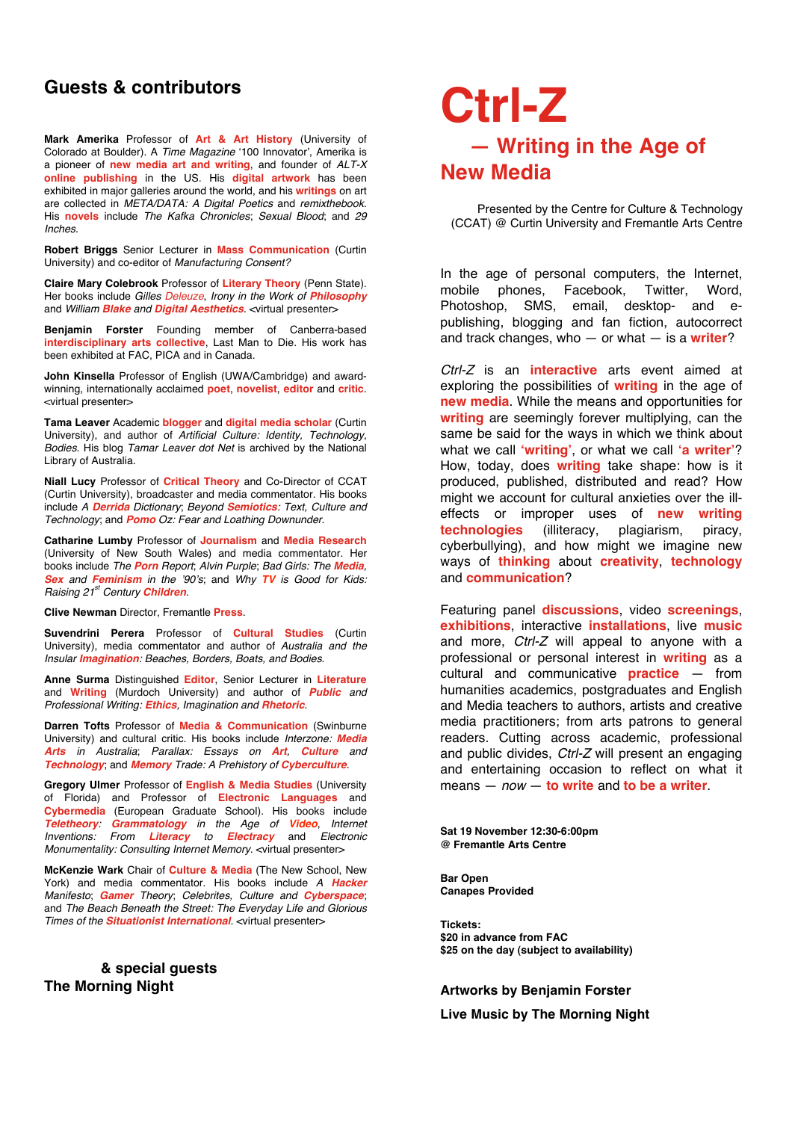## **Guests & contributors**

**Mark Amerika** Professor of **Art & Art History** (University of Colorado at Boulder). A *Time Magazine* '100 Innovator', Amerika is a pioneer of **new media art and writing**, and founder of *ALT-X* **online publishing** in the US. His **digital artwork** has been exhibited in major galleries around the world, and his **writings** on art are collected in *META/DATA: A Digital Poetics* and *remixthebook*. His **novels** include *The Kafka Chronicles*; *Sexual Blood*; and *29 Inches*.

**Robert Briggs** Senior Lecturer in **Mass Communication** (Curtin University) and co-editor of *Manufacturing Consent?*

**Claire Mary Colebrook** Professor of **Literary Theory** (Penn State). Her books include *Gilles Deleuze*, *Irony in the Work of Philosophy* and *William Blake and Digital Aesthetics*. <virtual presenter>

**Benjamin Forster** Founding member of Canberra-based **interdisciplinary arts collective**, Last Man to Die. His work has been exhibited at FAC, PICA and in Canada.

**John Kinsella** Professor of English (UWA/Cambridge) and awardwinning, internationally acclaimed **poet**, **novelist**, **editor** and **critic**. <virtual presenter>

**Tama Leaver** Academic **blogger** and **digital media scholar** (Curtin University), and author of *Artificial Culture: Identity, Technology, Bodies*. His blog *Tamar Leaver dot Net* is archived by the National Library of Australia.

**Niall Lucy** Professor of **Critical Theory** and Co-Director of CCAT (Curtin University), broadcaster and media commentator. His books include *A Derrida Dictionary*; *Beyond Semiotics: Text, Culture and Technology*; and *Pomo Oz: Fear and Loathing Downunder*.

**Catharine Lumby** Professor of **Journalism** and **Media Research** (University of New South Wales) and media commentator. Her books include *The Porn Report*; *Alvin Purple*; *Bad Girls: The Media, Sex and Feminism in the* !*90*!*s*; and *Why TV is Good for Kids: Raising 21st Century Children*.

**Clive Newman** Director, Fremantle **Press**.

**Suvendrini Perera** Professor of **Cultural Studies** (Curtin University), media commentator and author of *Australia and the Insular Imagination: Beaches, Borders, Boats, and Bodies*.

**Anne Surma** Distinguished **Editor**, Senior Lecturer in **Literature** and **Writing** (Murdoch University) and author of *Public and Professional Writing: Ethics, Imagination and Rhetoric*.

**Darren Tofts** Professor of **Media & Communication** (Swinburne University) and cultural critic. His books include *Interzone: Media Arts in Australia*; *Parallax: Essays on Art, Culture and Technology*; and *Memory Trade: A Prehistory of Cyberculture*.

**Gregory Ulmer** Professor of **English & Media Studies** (University of Florida) and Professor of **Electronic Languages** and **Cybermedia** (European Graduate School). His books include *Teletheory: Grammatology in the Age of Video*, *Internet Inventions: From Literacy to Electracy* and *Electronic Monumentality: Consulting Internet Memory*. <virtual presenter>

**McKenzie Wark** Chair of **Culture & Media** (The New School, New York) and media commentator. His books include *A Hacker Manifesto*; *Gamer Theory*; *Celebrites, Culture and Cyberspace*; and *The Beach Beneath the Street: The Everyday Life and Glorious Times of the Situationist International*. <virtual presenter>

### **& special guests The Morning Night**

# **Ctrl-Z — Writing in the Age of New Media**

Presented by the Centre for Culture & Technology (CCAT) @ Curtin University and Fremantle Arts Centre

In the age of personal computers, the Internet, mobile phones, Facebook, Twitter, Word, Photoshop, SMS, email, desktop- and epublishing, blogging and fan fiction, autocorrect and track changes, who — or what — is a **writer**?

*Ctrl-Z* is an **interactive** arts event aimed at exploring the possibilities of **writing** in the age of **new media**. While the means and opportunities for **writing** are seemingly forever multiplying, can the same be said for the ways in which we think about what we call **!writing"**, or what we call **!a writer"**? How, today, does **writing** take shape: how is it produced, published, distributed and read? How might we account for cultural anxieties over the illeffects or improper uses of **new writing technologies** (illiteracy, plagiarism, piracy, cyberbullying), and how might we imagine new ways of **thinking** about **creativity**, **technology** and **communication**?

Featuring panel **discussions**, video **screenings**, **exhibitions**, interactive **installations**, live **music** and more, *Ctrl-Z* will appeal to anyone with a professional or personal interest in **writing** as a cultural and communicative **practice** — from humanities academics, postgraduates and English and Media teachers to authors, artists and creative media practitioners; from arts patrons to general readers. Cutting across academic, professional and public divides, *Ctrl-Z* will present an engaging and entertaining occasion to reflect on what it means — *now* — **to write** and **to be a writer**.

**Sat 19 November 12:30-6:00pm @ Fremantle Arts Centre**

**Bar Open Canapes Provided**

**Tickets: \$20 in advance from FAC \$25 on the day (subject to availability)**

### **Artworks by Benjamin Forster**

**Live Music by The Morning Night**